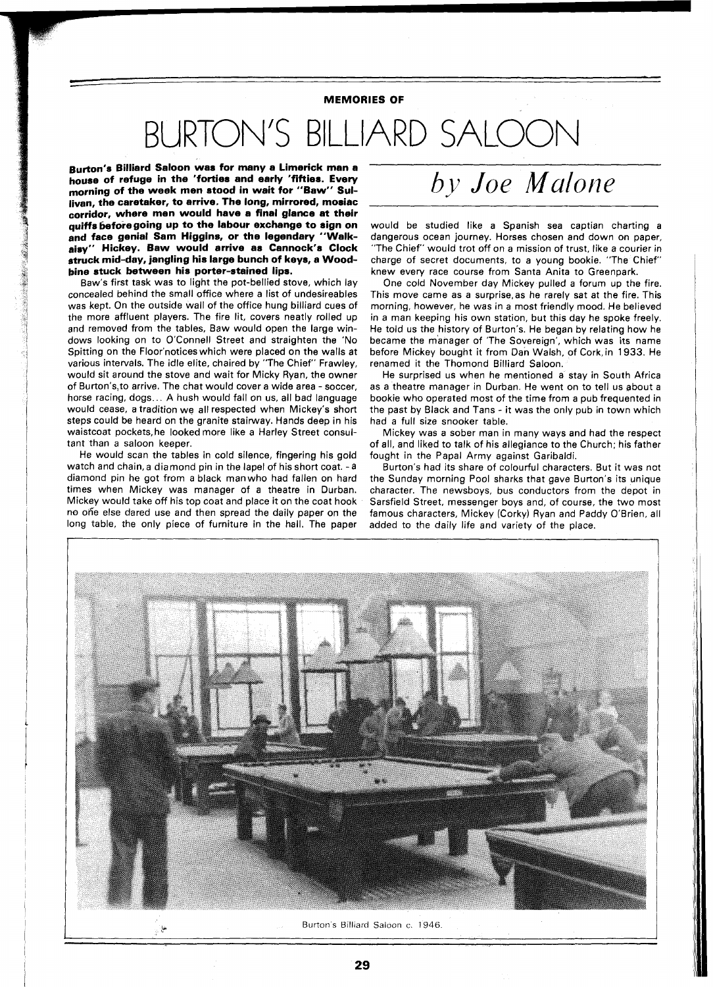## **MEMORIES OF**

## BURTON'S BILLIARD SALOON

 **ton's Billiard Saloon was for many a Limerick man a house of refuge in the 'forties and early 'fifties. Every morning of the week men stood in wait for "Saw" Sullivan, the caretaker, to arrive. The long, mirrored, mosiac corridor, where men would have a final glance at their**  quiffs before going up to the labour exchange to sign on **and face genial Sam Higgins, or the legendary "Walkaisy" Hickey. Saw would arrive as Cannock's Clock struck mid-day, jangling his large bunch of keys, a Woodbine stuck between his porter-stained lips.** 

Baw's first task was to light the pot-bellied stove, which lay concealed behind the small office where a list of undesireables was kept. On the outside wall of the office hung billiard cues of the more affluent players. The fire lit, covers neatly rolled up and removed from the tables, Baw would open the large windows looking on to O'Connell Street and straighten the 'No Spitting on the Floor'notices which were placed on the walls at various intervals. The idle elite, chaired by "The Chief" Frawley, would sit around the stove and wait for Micky Ryan, the owner of Burton's,to arrive. The chat would cover a wide area - soccer, horse racing, dogs.. . A hush would fall on us, all bad language would cease, a tradition we all respected when Mickey's short steps could be heard on the granite stairway. Hands deep in his waistcoat pockets,he looked more like a Harley Street consultant than a saloon keeper.

He would scan the tables in cold silence, fingering his gold watch and chain, a diamond pin in the lapel of his short coat. - a diamond pin he got from a black manwho had fallen on hard times when Mickey was manager of a theatre in Durban. Mickey would take off his top coat and place it on the coat hook no one else dared use and then spread the daily paper on the long table, the only piece of furniture in the hall. The paper added to the daily life and variety of the place.

## *by Joe Malone*

would be studied like a Spanish sea captian charting a dangerous ocean journey. Horses chosen and down on paper, "The Chief" would trot off on a mission of trust, like a courier in charge of secret documents, to a young bookie. "The Chief" knew every race course from Santa Anita to Greenpark.

One cold November day Mickey pulled a forum up the fire. This move came as a surprise,as he rarely sat at the fire. This morning, however, he was in a most friendly mood. He believed in a man keeping his own station, but this day he spoke freely. He told us the history of Burton's. He began by relating how he became the manager of 'The Sovereign', which was its name before Mickey bought it from Dan Walsh, of Cork, in 1933. He renamed it the Thomond Billiard Saloon.

He surprised us when he mentioned a stay in South Africa as a theatre manager in Durban. He went on to tell us about a bookie who operated most of the time from a pub frequented in the past by Black and Tans - it was the only pub in town which had a full size snooker table.

Mickey was a sober man in many ways and had the respect of all, and liked to talk of his allegiance to the Church; his father fought in the Papal Army against Garibaldi.

Burton's had its share of colourful characters. But it was not the Sunday morning Pool sharks that gave Burton's its unique character. The newsboys, bus conductors from the depot in Sarsfield Street, messenger boys and, of course, the two most famous characters, Mickey (Corky) Ryan and Paddy O'Brien, all